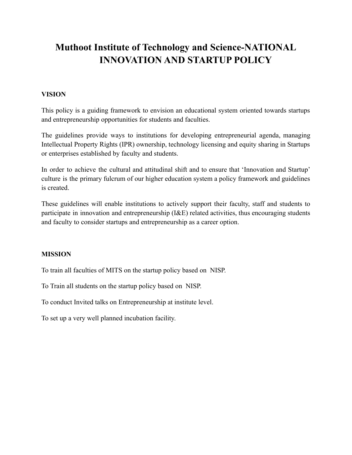# **Muthoot Institute of Technology and Science-NATIONAL INNOVATION AND STARTUP POLICY**

# **VISION**

This policy is a guiding framework to envision an educational system oriented towards startups and entrepreneurship opportunities for students and faculties.

The guidelines provide ways to institutions for developing entrepreneurial agenda, managing Intellectual Property Rights (IPR) ownership, technology licensing and equity sharing in Startups or enterprises established by faculty and students.

In order to achieve the cultural and attitudinal shift and to ensure that 'Innovation and Startup' culture is the primary fulcrum of our higher education system a policy framework and guidelines is created.

These guidelines will enable institutions to actively support their faculty, staff and students to participate in innovation and entrepreneurship (I&E) related activities, thus encouraging students and faculty to consider startups and entrepreneurship as a career option.

## **MISSION**

To train all faculties of MITS on the startup policy based on NISP.

To Train all students on the startup policy based on NISP.

To conduct Invited talks on Entrepreneurship at institute level.

To set up a very well planned incubation facility.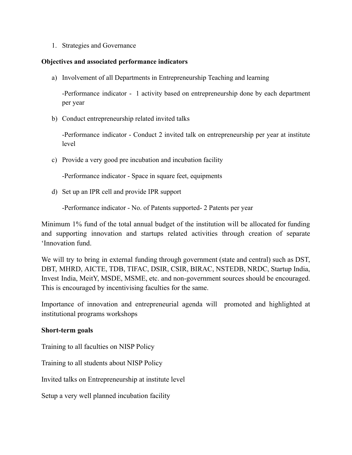1. Strategies and Governance

#### **Objectives and associated performance indicators**

a) Involvement of all Departments in Entrepreneurship Teaching and learning

-Performance indicator - 1 activity based on entrepreneurship done by each department per year

b) Conduct entrepreneurship related invited talks

-Performance indicator - Conduct 2 invited talk on entrepreneurship per year at institute level

c) Provide a very good pre incubation and incubation facility

-Performance indicator - Space in square feet, equipments

d) Set up an IPR cell and provide IPR support

-Performance indicator - No. of Patents supported- 2 Patents per year

Minimum 1% fund of the total annual budget of the institution will be allocated for funding and supporting innovation and startups related activities through creation of separate 'Innovation fund.

We will try to bring in external funding through government (state and central) such as DST, DBT, MHRD, AICTE, TDB, TIFAC, DSIR, CSIR, BIRAC, NSTEDB, NRDC, Startup India, Invest India, MeitY, MSDE, MSME, etc. and non-government sources should be encouraged. This is encouraged by incentivising faculties for the same.

Importance of innovation and entrepreneurial agenda will promoted and highlighted at institutional programs workshops

## **Short-term goals**

Training to all faculties on NISP Policy

Training to all students about NISP Policy

Invited talks on Entrepreneurship at institute level

Setup a very well planned incubation facility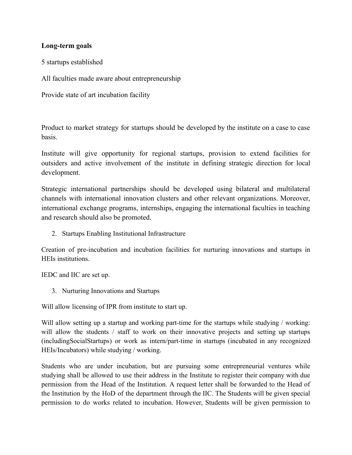## **Long-term goals**

5 startups established

All faculties made aware about entrepreneurship

Provide state of art incubation facility

Product to market strategy for startups should be developed by the institute on a case to case basis.

Institute will give opportunity for regional startups, provision to extend facilities for outsiders and active involvement of the institute in defining strategic direction for local development.

Strategic international partnerships should be developed using bilateral and multilateral channels with international innovation clusters and other relevant organizations. Moreover, international exchange programs, internships, engaging the international faculties in teaching and research should also be promoted.

2. Startups Enabling Institutional Infrastructure

Creation of pre-incubation and incubation facilities for nurturing innovations and startups in HEIs institutions.

IEDC and IIC are set up.

3. Nurturing Innovations and Startups

Will allow licensing of IPR from institute to start up.

Will allow setting up a startup and working part-time for the startups while studying / working: will allow the students / staff to work on their innovative projects and setting up startups (includingSocialStartups) or work as intern/part-time in startups (incubated in any recognized HEIs/Incubators) while studying / working.

Students who are under incubation, but are pursuing some entrepreneurial ventures while studying shall be allowed to use their address in the Institute to register their company with due permission from the Head of the Institution. A request letter shall be forwarded to the Head of the Institution by the HoD of the department through the IIC. The Students will be given special permission to do works related to incubation. However, Students will be given permission to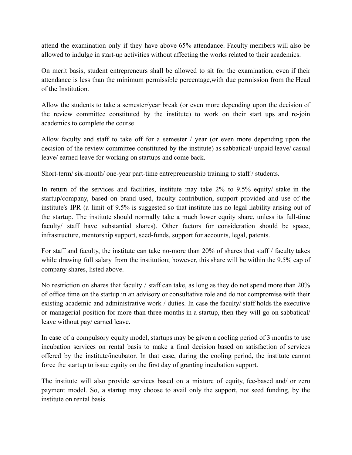attend the examination only if they have above 65% attendance. Faculty members will also be allowed to indulge in start-up activities without affecting the works related to their academics.

On merit basis, student entrepreneurs shall be allowed to sit for the examination, even if their attendance is less than the minimum permissible percentage,with due permission from the Head of the Institution.

Allow the students to take a semester/year break (or even more depending upon the decision of the review committee constituted by the institute) to work on their start ups and re-join academics to complete the course.

Allow faculty and staff to take off for a semester / year (or even more depending upon the decision of the review committee constituted by the institute) as sabbatical/ unpaid leave/ casual leave/ earned leave for working on startups and come back.

Short-term/ six-month/ one-year part-time entrepreneurship training to staff / students.

In return of the services and facilities, institute may take 2% to 9.5% equity/ stake in the startup/company, based on brand used, faculty contribution, support provided and use of the institute's IPR (a limit of 9.5% is suggested so that institute has no legal liability arising out of the startup. The institute should normally take a much lower equity share, unless its full-time faculty/ staff have substantial shares). Other factors for consideration should be space, infrastructure, mentorship support, seed-funds, support for accounts, legal, patents.

For staff and faculty, the institute can take no-more than 20% of shares that staff / faculty takes while drawing full salary from the institution; however, this share will be within the 9.5% cap of company shares, listed above.

No restriction on shares that faculty / staff can take, as long as they do not spend more than 20% of office time on the startup in an advisory or consultative role and do not compromise with their existing academic and administrative work / duties. In case the faculty/ staff holds the executive or managerial position for more than three months in a startup, then they will go on sabbatical/ leave without pay/ earned leave.

In case of a compulsory equity model, startups may be given a cooling period of 3 months to use incubation services on rental basis to make a final decision based on satisfaction of services offered by the institute/incubator. In that case, during the cooling period, the institute cannot force the startup to issue equity on the first day of granting incubation support.

The institute will also provide services based on a mixture of equity, fee-based and/ or zero payment model. So, a startup may choose to avail only the support, not seed funding, by the institute on rental basis.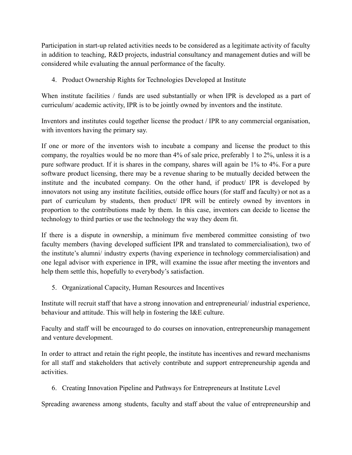Participation in start-up related activities needs to be considered as a legitimate activity of faculty in addition to teaching, R&D projects, industrial consultancy and management duties and will be considered while evaluating the annual performance of the faculty.

4. Product Ownership Rights for Technologies Developed at Institute

When institute facilities / funds are used substantially or when IPR is developed as a part of curriculum/ academic activity, IPR is to be jointly owned by inventors and the institute.

Inventors and institutes could together license the product / IPR to any commercial organisation, with inventors having the primary say.

If one or more of the inventors wish to incubate a company and license the product to this company, the royalties would be no more than 4% of sale price, preferably 1 to 2%, unless it is a pure software product. If it is shares in the company, shares will again be 1% to 4%. For a pure software product licensing, there may be a revenue sharing to be mutually decided between the institute and the incubated company. On the other hand, if product/ IPR is developed by innovators not using any institute facilities, outside office hours (for staff and faculty) or not as a part of curriculum by students, then product/ IPR will be entirely owned by inventors in proportion to the contributions made by them. In this case, inventors can decide to license the technology to third parties or use the technology the way they deem fit.

If there is a dispute in ownership, a minimum five membered committee consisting of two faculty members (having developed sufficient IPR and translated to commercialisation), two of the institute's alumni/ industry experts (having experience in technology commercialisation) and one legal advisor with experience in IPR, will examine the issue after meeting the inventors and help them settle this, hopefully to everybody's satisfaction.

5. Organizational Capacity, Human Resources and Incentives

Institute will recruit staff that have a strong innovation and entrepreneurial/ industrial experience, behaviour and attitude. This will help in fostering the I&E culture.

Faculty and staff will be encouraged to do courses on innovation, entrepreneurship management and venture development.

In order to attract and retain the right people, the institute has incentives and reward mechanisms for all staff and stakeholders that actively contribute and support entrepreneurship agenda and activities.

6. Creating Innovation Pipeline and Pathways for Entrepreneurs at Institute Level

Spreading awareness among students, faculty and staff about the value of entrepreneurship and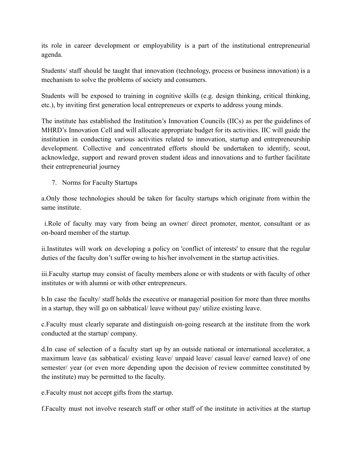its role in career development or employability is a part of the institutional entrepreneurial agenda.

Students/ staff should be taught that innovation (technology, process or business innovation) is a mechanism to solve the problems of society and consumers.

Students will be exposed to training in cognitive skills (e.g. design thinking, critical thinking, etc.), by inviting first generation local entrepreneurs or experts to address young minds.

The institute has established the Institution's Innovation Councils (IICs) as per the guidelines of MHRD's Innovation Cell and will allocate appropriate budget for its activities. IIC will guide the institution in conducting various activities related to innovation, startup and entrepreneurship development. Collective and concentrated efforts should be undertaken to identify, scout, acknowledge, support and reward proven student ideas and innovations and to further facilitate their entrepreneurial journey

7. Norms for Faculty Startups

a.Only those technologies should be taken for faculty startups which originate from within the same institute.

i.Role of faculty may vary from being an owner/ direct promoter, mentor, consultant or as on-board member of the startup.

ii.Institutes will work on developing a policy on 'conflict of interests' to ensure that the regular duties of the faculty don't suffer owing to his/her involvement in the startup activities.

iii.Faculty startup may consist of faculty members alone or with students or with faculty of other institutes or with alumni or with other entrepreneurs.

b.In case the faculty/ staff holds the executive or managerial position for more than three months in a startup, they will go on sabbatical/ leave without pay/ utilize existing leave.

c.Faculty must clearly separate and distinguish on-going research at the institute from the work conducted at the startup/ company.

d.In case of selection of a faculty start up by an outside national or international accelerator, a maximum leave (as sabbatical/ existing leave/ unpaid leave/ casual leave/ earned leave) of one semester/ year (or even more depending upon the decision of review committee constituted by the institute) may be permitted to the faculty.

e.Faculty must not accept gifts from the startup.

f.Faculty must not involve research staff or other staff of the institute in activities at the startup